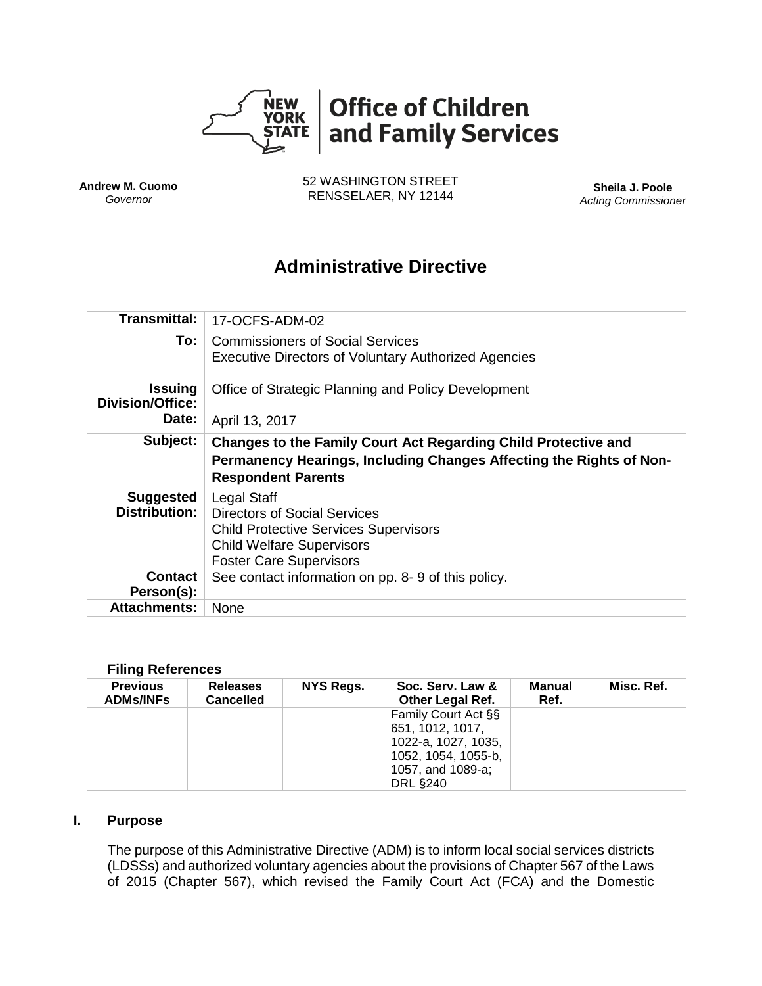

**Andrew M. Cuomo** *Governor*

52 WASHINGTON STREET RENSSELAER, NY 12144 **Sheila J. Poole**

*Acting Commissioner*

# **Administrative Directive**

| Transmittal:                              | 17-OCFS-ADM-02                                                                                                                                                           |
|-------------------------------------------|--------------------------------------------------------------------------------------------------------------------------------------------------------------------------|
| To: I                                     | <b>Commissioners of Social Services</b><br><b>Executive Directors of Voluntary Authorized Agencies</b>                                                                   |
| <b>Issuing</b><br><b>Division/Office:</b> | Office of Strategic Planning and Policy Development                                                                                                                      |
| <b>Date:</b>                              | April 13, 2017                                                                                                                                                           |
| Subject:                                  | Changes to the Family Court Act Regarding Child Protective and<br>Permanency Hearings, Including Changes Affecting the Rights of Non-<br><b>Respondent Parents</b>       |
|                                           |                                                                                                                                                                          |
| <b>Suggested</b><br><b>Distribution:</b>  | Legal Staff<br><b>Directors of Social Services</b><br><b>Child Protective Services Supervisors</b><br><b>Child Welfare Supervisors</b><br><b>Foster Care Supervisors</b> |
| <b>Contact</b><br>Person(s):              | See contact information on pp. 8-9 of this policy.                                                                                                                       |

#### **Filing References**

| <b>Previous</b><br><b>ADMs/INFs</b> | <b>Releases</b><br><b>Cancelled</b> | NYS Regs. | Soc. Serv. Law &<br><b>Other Legal Ref.</b> | Manual<br>Ref. | Misc. Ref. |
|-------------------------------------|-------------------------------------|-----------|---------------------------------------------|----------------|------------|
|                                     |                                     |           | Family Court Act §§                         |                |            |
|                                     |                                     |           | 651, 1012, 1017,                            |                |            |
|                                     |                                     |           | 1022-a, 1027, 1035,                         |                |            |
|                                     |                                     |           | 1052, 1054, 1055-b,                         |                |            |
|                                     |                                     |           | 1057, and 1089-a;                           |                |            |
|                                     |                                     |           | <b>DRL §240</b>                             |                |            |

# **I. Purpose**

The purpose of this Administrative Directive (ADM) is to inform local social services districts (LDSSs) and authorized voluntary agencies about the provisions of Chapter 567 of the Laws of 2015 (Chapter 567), which revised the Family Court Act (FCA) and the Domestic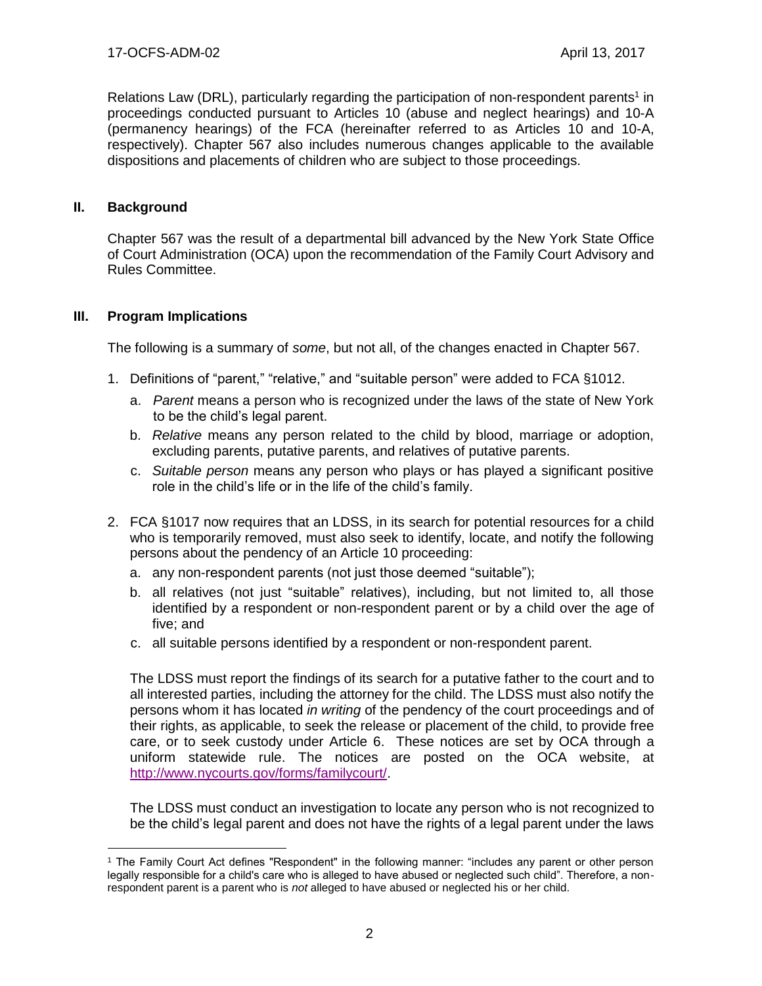Relations Law (DRL), particularly regarding the participation of non-respondent parents<sup>1</sup> in proceedings conducted pursuant to Articles 10 (abuse and neglect hearings) and 10-A (permanency hearings) of the FCA (hereinafter referred to as Articles 10 and 10-A, respectively). Chapter 567 also includes numerous changes applicable to the available dispositions and placements of children who are subject to those proceedings.

# **II. Background**

 $\overline{a}$ 

Chapter 567 was the result of a departmental bill advanced by the New York State Office of Court Administration (OCA) upon the recommendation of the Family Court Advisory and Rules Committee.

# **III. Program Implications**

The following is a summary of *some*, but not all, of the changes enacted in Chapter 567.

- 1. Definitions of "parent," "relative," and "suitable person" were added to FCA §1012.
	- a. *Parent* means a person who is recognized under the laws of the state of New York to be the child's legal parent.
	- b. *Relative* means any person related to the child by blood, marriage or adoption, excluding parents, putative parents, and relatives of putative parents.
	- c. *Suitable person* means any person who plays or has played a significant positive role in the child's life or in the life of the child's family.
- 2. FCA §1017 now requires that an LDSS, in its search for potential resources for a child who is temporarily removed, must also seek to identify, locate, and notify the following persons about the pendency of an Article 10 proceeding:
	- a. any non-respondent parents (not just those deemed "suitable");
	- b. all relatives (not just "suitable" relatives), including, but not limited to, all those identified by a respondent or non-respondent parent or by a child over the age of five; and
	- c. all suitable persons identified by a respondent or non-respondent parent.

The LDSS must report the findings of its search for a putative father to the court and to all interested parties, including the attorney for the child. The LDSS must also notify the persons whom it has located *in writing* of the pendency of the court proceedings and of their rights, as applicable, to seek the release or placement of the child, to provide free care, or to seek custody under Article 6. These notices are set by OCA through a uniform statewide rule. The notices are posted on the OCA website, at [http://www.nycourts.gov/forms/familycourt/.](http://www.nycourts.gov/forms/familycourt/)

The LDSS must conduct an investigation to locate any person who is not recognized to be the child's legal parent and does not have the rights of a legal parent under the laws

<sup>1</sup> The Family Court Act defines "Respondent" in the following manner: "includes any parent or other person legally responsible for a child's care who is alleged to have abused or neglected such child". Therefore, a nonrespondent parent is a parent who is *not* alleged to have abused or neglected his or her child.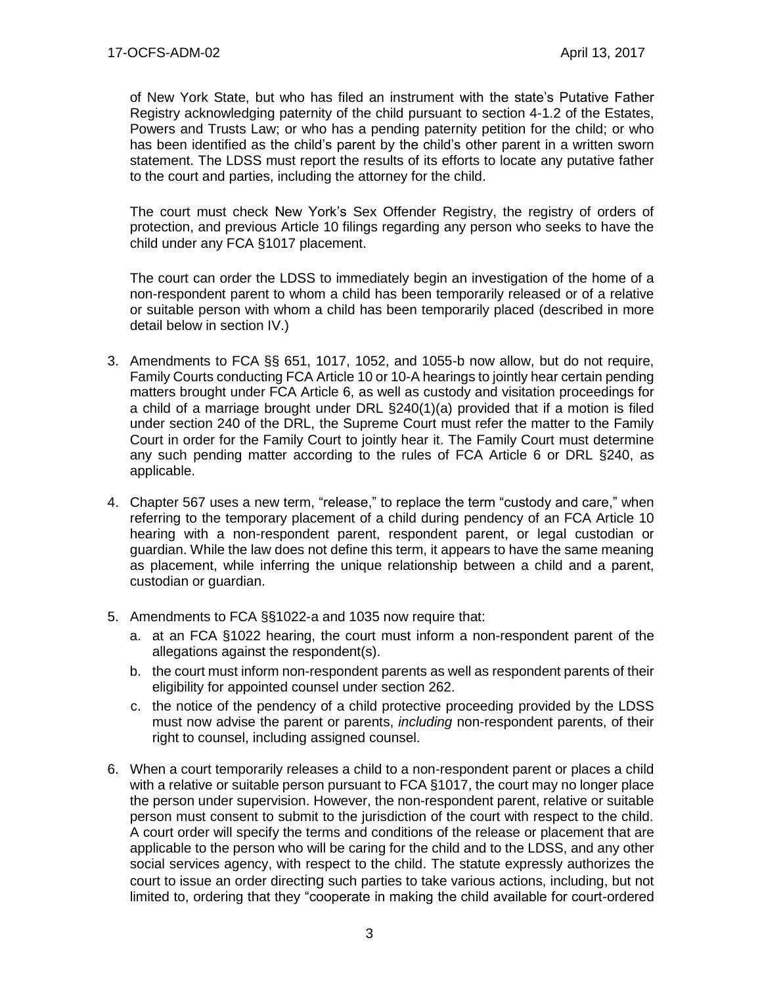of New York State, but who has filed an instrument with the state's Putative Father Registry acknowledging paternity of the child pursuant to section 4-1.2 of the Estates, Powers and Trusts Law; or who has a pending paternity petition for the child; or who has been identified as the child's parent by the child's other parent in a written sworn statement. The LDSS must report the results of its efforts to locate any putative father to the court and parties, including the attorney for the child.

The court must check New York's Sex Offender Registry, the registry of orders of protection, and previous Article 10 filings regarding any person who seeks to have the child under any FCA §1017 placement.

The court can order the LDSS to immediately begin an investigation of the home of a non-respondent parent to whom a child has been temporarily released or of a relative or suitable person with whom a child has been temporarily placed (described in more detail below in section IV.)

- 3. Amendments to FCA §§ 651, 1017, 1052, and 1055-b now allow, but do not require, Family Courts conducting FCA Article 10 or 10-A hearings to jointly hear certain pending matters brought under FCA Article 6, as well as custody and visitation proceedings for a child of a marriage brought under DRL §240(1)(a) provided that if a motion is filed under section 240 of the DRL, the Supreme Court must refer the matter to the Family Court in order for the Family Court to jointly hear it. The Family Court must determine any such pending matter according to the rules of FCA Article 6 or DRL §240, as applicable.
- 4. Chapter 567 uses a new term, "release," to replace the term "custody and care," when referring to the temporary placement of a child during pendency of an FCA Article 10 hearing with a non-respondent parent, respondent parent, or legal custodian or guardian. While the law does not define this term, it appears to have the same meaning as placement, while inferring the unique relationship between a child and a parent, custodian or guardian.
- 5. Amendments to FCA §§1022-a and 1035 now require that:
	- a. at an FCA §1022 hearing, the court must inform a non-respondent parent of the allegations against the respondent(s).
	- b. the court must inform non-respondent parents as well as respondent parents of their eligibility for appointed counsel under section 262.
	- c. the notice of the pendency of a child protective proceeding provided by the LDSS must now advise the parent or parents, *including* non-respondent parents, of their right to counsel, including assigned counsel.
- 6. When a court temporarily releases a child to a non-respondent parent or places a child with a relative or suitable person pursuant to FCA §1017, the court may no longer place the person under supervision. However, the non-respondent parent, relative or suitable person must consent to submit to the jurisdiction of the court with respect to the child. A court order will specify the terms and conditions of the release or placement that are applicable to the person who will be caring for the child and to the LDSS, and any other social services agency, with respect to the child. The statute expressly authorizes the court to issue an order directing such parties to take various actions, including, but not limited to, ordering that they "cooperate in making the child available for court-ordered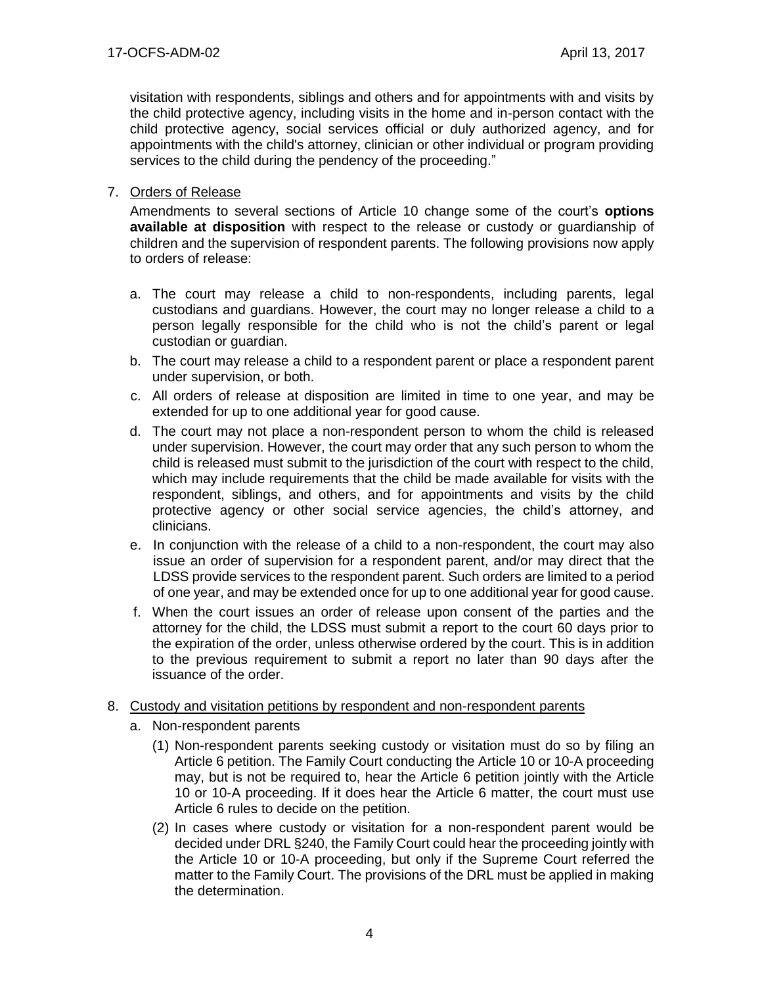visitation with respondents, siblings and others and for appointments with and visits by the child protective agency, including visits in the home and in-person contact with the child protective agency, social services official or duly authorized agency, and for appointments with the child's attorney, clinician or other individual or program providing services to the child during the pendency of the proceeding."

# 7. Orders of Release

Amendments to several sections of Article 10 change some of the court's **options available at disposition** with respect to the release or custody or guardianship of children and the supervision of respondent parents. The following provisions now apply to orders of release:

- a. The court may release a child to non-respondents, including parents, legal custodians and guardians. However, the court may no longer release a child to a person legally responsible for the child who is not the child's parent or legal custodian or guardian.
- b. The court may release a child to a respondent parent or place a respondent parent under supervision, or both.
- c. All orders of release at disposition are limited in time to one year, and may be extended for up to one additional year for good cause.
- d. The court may not place a non-respondent person to whom the child is released under supervision. However, the court may order that any such person to whom the child is released must submit to the jurisdiction of the court with respect to the child, which may include requirements that the child be made available for visits with the respondent, siblings, and others, and for appointments and visits by the child protective agency or other social service agencies, the child's attorney, and clinicians.
- e. In conjunction with the release of a child to a non-respondent, the court may also issue an order of supervision for a respondent parent, and/or may direct that the LDSS provide services to the respondent parent. Such orders are limited to a period of one year, and may be extended once for up to one additional year for good cause.
- f. When the court issues an order of release upon consent of the parties and the attorney for the child, the LDSS must submit a report to the court 60 days prior to the expiration of the order, unless otherwise ordered by the court. This is in addition to the previous requirement to submit a report no later than 90 days after the issuance of the order.

#### 8. Custody and visitation petitions by respondent and non-respondent parents

- a. Non-respondent parents
	- (1) Non-respondent parents seeking custody or visitation must do so by filing an Article 6 petition. The Family Court conducting the Article 10 or 10-A proceeding may, but is not be required to, hear the Article 6 petition jointly with the Article 10 or 10-A proceeding. If it does hear the Article 6 matter, the court must use Article 6 rules to decide on the petition.
	- (2) In cases where custody or visitation for a non-respondent parent would be decided under DRL §240, the Family Court could hear the proceeding jointly with the Article 10 or 10-A proceeding, but only if the Supreme Court referred the matter to the Family Court. The provisions of the DRL must be applied in making the determination.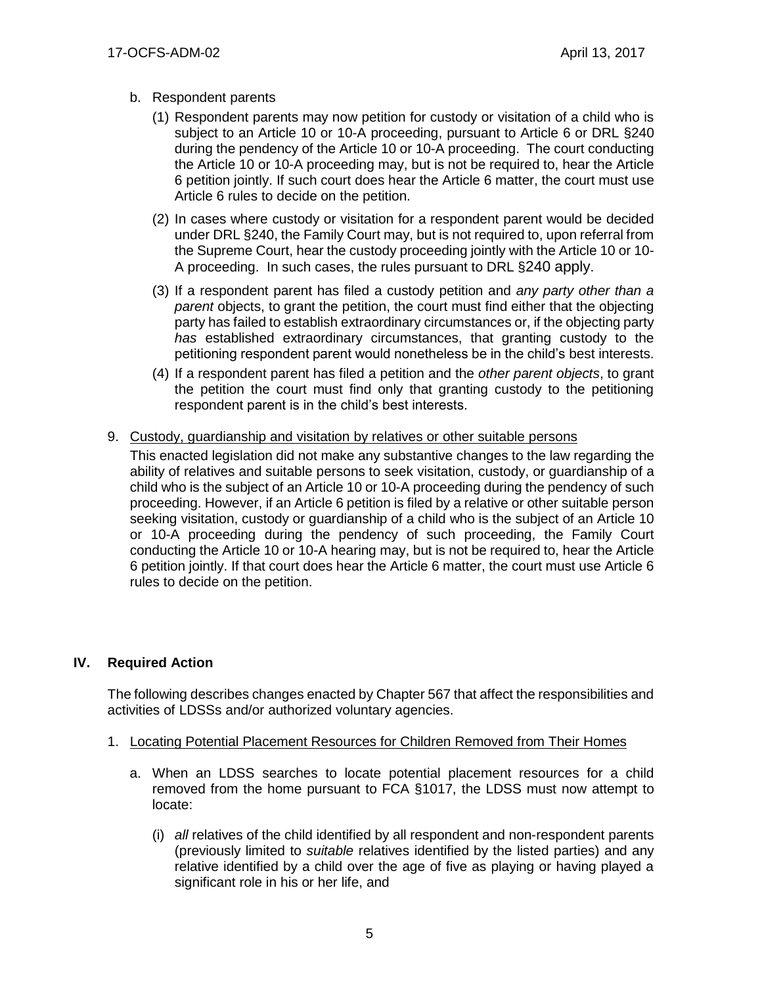- b. Respondent parents
	- (1) Respondent parents may now petition for custody or visitation of a child who is subject to an Article 10 or 10-A proceeding, pursuant to Article 6 or DRL §240 during the pendency of the Article 10 or 10-A proceeding. The court conducting the Article 10 or 10-A proceeding may, but is not be required to, hear the Article 6 petition jointly. If such court does hear the Article 6 matter, the court must use Article 6 rules to decide on the petition.
	- (2) In cases where custody or visitation for a respondent parent would be decided under DRL §240, the Family Court may, but is not required to, upon referral from the Supreme Court, hear the custody proceeding jointly with the Article 10 or 10- A proceeding. In such cases, the rules pursuant to DRL §240 apply.
	- (3) If a respondent parent has filed a custody petition and *any party other than a parent* objects, to grant the petition, the court must find either that the objecting party has failed to establish extraordinary circumstances or, if the objecting party *has* established extraordinary circumstances, that granting custody to the petitioning respondent parent would nonetheless be in the child's best interests.
	- (4) If a respondent parent has filed a petition and the *other parent objects*, to grant the petition the court must find only that granting custody to the petitioning respondent parent is in the child's best interests.
- 9. Custody, guardianship and visitation by relatives or other suitable persons

This enacted legislation did not make any substantive changes to the law regarding the ability of relatives and suitable persons to seek visitation, custody, or guardianship of a child who is the subject of an Article 10 or 10-A proceeding during the pendency of such proceeding. However, if an Article 6 petition is filed by a relative or other suitable person seeking visitation, custody or guardianship of a child who is the subject of an Article 10 or 10-A proceeding during the pendency of such proceeding, the Family Court conducting the Article 10 or 10-A hearing may, but is not be required to, hear the Article 6 petition jointly. If that court does hear the Article 6 matter, the court must use Article 6 rules to decide on the petition.

# **IV. Required Action**

The following describes changes enacted by Chapter 567 that affect the responsibilities and activities of LDSSs and/or authorized voluntary agencies.

- 1. Locating Potential Placement Resources for Children Removed from Their Homes
	- a. When an LDSS searches to locate potential placement resources for a child removed from the home pursuant to FCA §1017, the LDSS must now attempt to locate:
		- (i) *all* relatives of the child identified by all respondent and non-respondent parents (previously limited to *suitable* relatives identified by the listed parties) and any relative identified by a child over the age of five as playing or having played a significant role in his or her life, and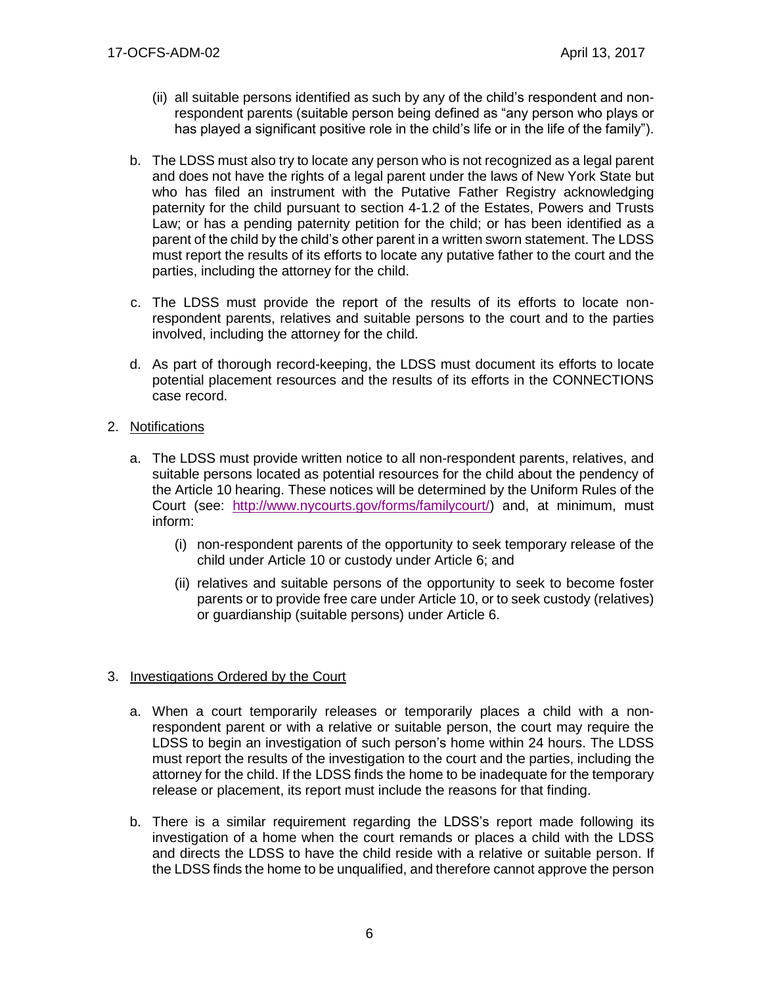- (ii) all suitable persons identified as such by any of the child's respondent and nonrespondent parents (suitable person being defined as "any person who plays or has played a significant positive role in the child's life or in the life of the family").
- b. The LDSS must also try to locate any person who is not recognized as a legal parent and does not have the rights of a legal parent under the laws of New York State but who has filed an instrument with the Putative Father Registry acknowledging paternity for the child pursuant to section 4-1.2 of the Estates, Powers and Trusts Law; or has a pending paternity petition for the child; or has been identified as a parent of the child by the child's other parent in a written sworn statement. The LDSS must report the results of its efforts to locate any putative father to the court and the parties, including the attorney for the child.
- c. The LDSS must provide the report of the results of its efforts to locate nonrespondent parents, relatives and suitable persons to the court and to the parties involved, including the attorney for the child.
- d. As part of thorough record-keeping, the LDSS must document its efforts to locate potential placement resources and the results of its efforts in the CONNECTIONS case record.
- 2. Notifications
	- a. The LDSS must provide written notice to all non-respondent parents, relatives, and suitable persons located as potential resources for the child about the pendency of the Article 10 hearing. These notices will be determined by the Uniform Rules of the Court (see: [http://www.nycourts.gov/forms/familycourt/\)](http://www.nycourts.gov/forms/familycourt/) and, at minimum, must inform:
		- (i) non-respondent parents of the opportunity to seek temporary release of the child under Article 10 or custody under Article 6; and
		- (ii) relatives and suitable persons of the opportunity to seek to become foster parents or to provide free care under Article 10, or to seek custody (relatives) or guardianship (suitable persons) under Article 6.

# 3. Investigations Ordered by the Court

- a. When a court temporarily releases or temporarily places a child with a nonrespondent parent or with a relative or suitable person, the court may require the LDSS to begin an investigation of such person's home within 24 hours. The LDSS must report the results of the investigation to the court and the parties, including the attorney for the child. If the LDSS finds the home to be inadequate for the temporary release or placement, its report must include the reasons for that finding.
- b. There is a similar requirement regarding the LDSS's report made following its investigation of a home when the court remands or places a child with the LDSS and directs the LDSS to have the child reside with a relative or suitable person. If the LDSS finds the home to be unqualified, and therefore cannot approve the person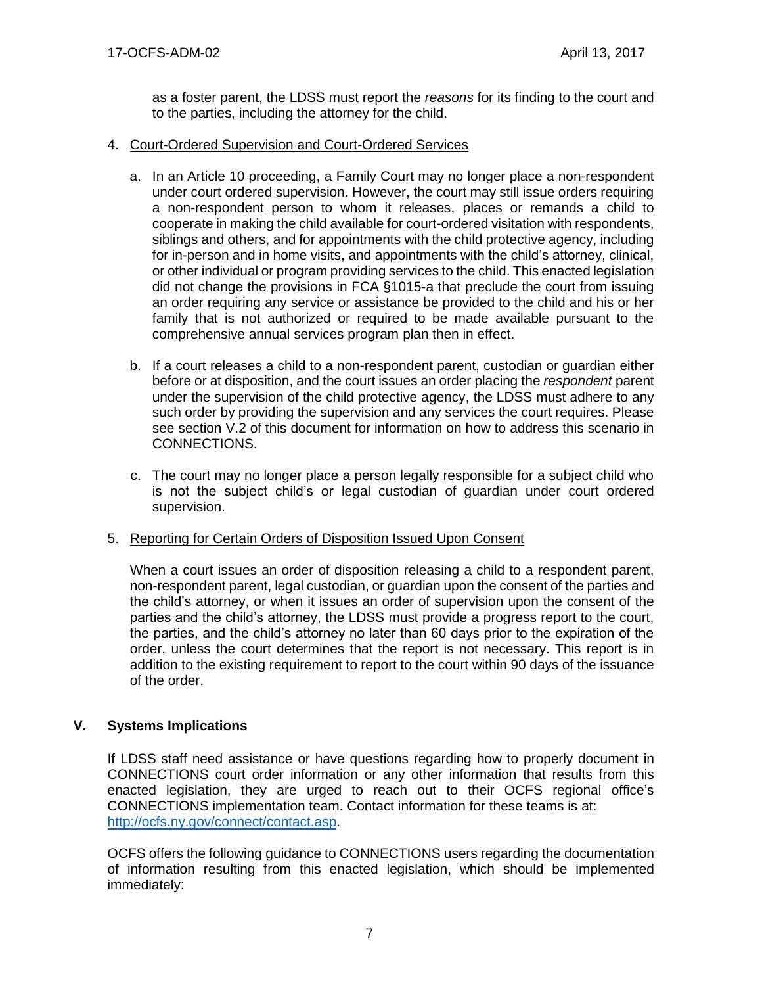as a foster parent, the LDSS must report the *reasons* for its finding to the court and to the parties, including the attorney for the child.

### 4. Court-Ordered Supervision and Court-Ordered Services

- a. In an Article 10 proceeding, a Family Court may no longer place a non-respondent under court ordered supervision. However, the court may still issue orders requiring a non-respondent person to whom it releases, places or remands a child to cooperate in making the child available for court-ordered visitation with respondents, siblings and others, and for appointments with the child protective agency, including for in-person and in home visits, and appointments with the child's attorney, clinical, or other individual or program providing services to the child. This enacted legislation did not change the provisions in FCA §1015-a that preclude the court from issuing an order requiring any service or assistance be provided to the child and his or her family that is not authorized or required to be made available pursuant to the comprehensive annual services program plan then in effect.
- b. If a court releases a child to a non-respondent parent, custodian or guardian either before or at disposition, and the court issues an order placing the *respondent* parent under the supervision of the child protective agency, the LDSS must adhere to any such order by providing the supervision and any services the court requires. Please see section V.2 of this document for information on how to address this scenario in CONNECTIONS.
- c. The court may no longer place a person legally responsible for a subject child who is not the subject child's or legal custodian of guardian under court ordered supervision.

# 5. Reporting for Certain Orders of Disposition Issued Upon Consent

When a court issues an order of disposition releasing a child to a respondent parent, non-respondent parent, legal custodian, or guardian upon the consent of the parties and the child's attorney, or when it issues an order of supervision upon the consent of the parties and the child's attorney, the LDSS must provide a progress report to the court, the parties, and the child's attorney no later than 60 days prior to the expiration of the order, unless the court determines that the report is not necessary. This report is in addition to the existing requirement to report to the court within 90 days of the issuance of the order.

# **V. Systems Implications**

If LDSS staff need assistance or have questions regarding how to properly document in CONNECTIONS court order information or any other information that results from this enacted legislation, they are urged to reach out to their OCFS regional office's CONNECTIONS implementation team. Contact information for these teams is at: [http://ocfs.ny.gov/connect/contact.asp.](http://ocfs.ny.gov/connect/contact.asp)

OCFS offers the following guidance to CONNECTIONS users regarding the documentation of information resulting from this enacted legislation, which should be implemented immediately: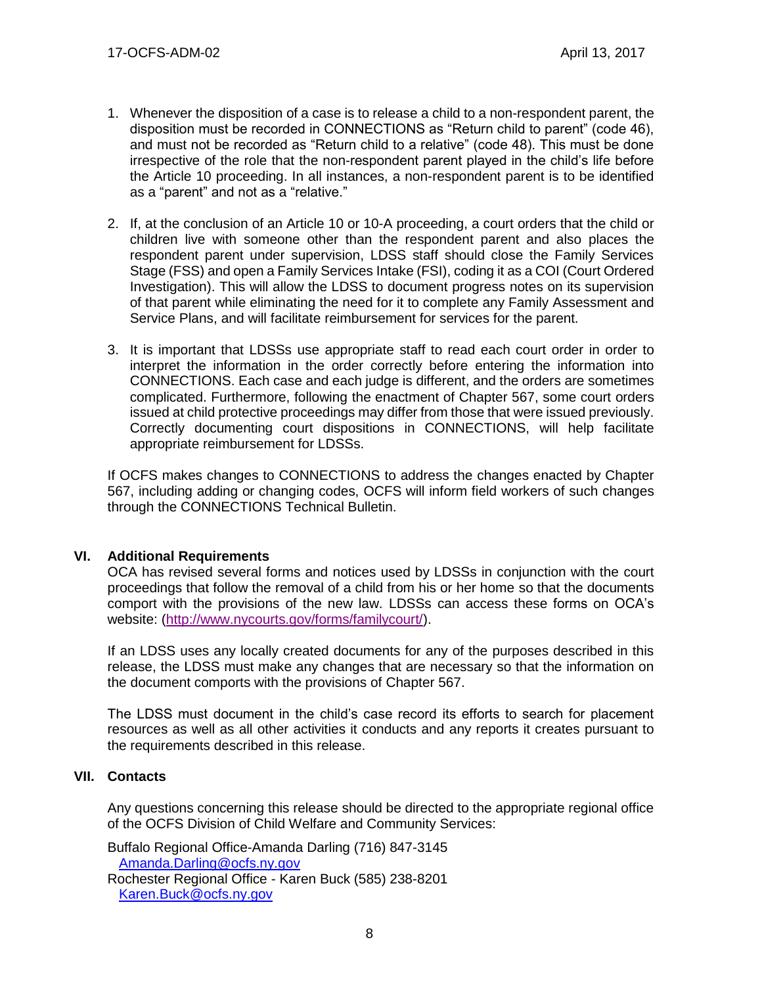- 1. Whenever the disposition of a case is to release a child to a non-respondent parent, the disposition must be recorded in CONNECTIONS as "Return child to parent" (code 46), and must not be recorded as "Return child to a relative" (code 48). This must be done irrespective of the role that the non-respondent parent played in the child's life before the Article 10 proceeding. In all instances, a non-respondent parent is to be identified as a "parent" and not as a "relative."
- 2. If, at the conclusion of an Article 10 or 10-A proceeding, a court orders that the child or children live with someone other than the respondent parent and also places the respondent parent under supervision, LDSS staff should close the Family Services Stage (FSS) and open a Family Services Intake (FSI), coding it as a COI (Court Ordered Investigation). This will allow the LDSS to document progress notes on its supervision of that parent while eliminating the need for it to complete any Family Assessment and Service Plans, and will facilitate reimbursement for services for the parent.
- 3. It is important that LDSSs use appropriate staff to read each court order in order to interpret the information in the order correctly before entering the information into CONNECTIONS. Each case and each judge is different, and the orders are sometimes complicated. Furthermore, following the enactment of Chapter 567, some court orders issued at child protective proceedings may differ from those that were issued previously. Correctly documenting court dispositions in CONNECTIONS, will help facilitate appropriate reimbursement for LDSSs.

If OCFS makes changes to CONNECTIONS to address the changes enacted by Chapter 567, including adding or changing codes, OCFS will inform field workers of such changes through the CONNECTIONS Technical Bulletin.

# **VI. Additional Requirements**

OCA has revised several forms and notices used by LDSSs in conjunction with the court proceedings that follow the removal of a child from his or her home so that the documents comport with the provisions of the new law. LDSSs can access these forms on OCA's website: [\(http://www.nycourts.gov/forms/familycourt/\)](http://www.nycourts.gov/forms/familycourt/).

If an LDSS uses any locally created documents for any of the purposes described in this release, the LDSS must make any changes that are necessary so that the information on the document comports with the provisions of Chapter 567.

The LDSS must document in the child's case record its efforts to search for placement resources as well as all other activities it conducts and any reports it creates pursuant to the requirements described in this release.

# **VII. Contacts**

Any questions concerning this release should be directed to the appropriate regional office of the OCFS Division of Child Welfare and Community Services:

Buffalo Regional Office-Amanda Darling (716) 847-3145 [Amanda.Darling@ocfs.ny.gov](mailto:Amanda.Darling@ocfs.ny.gov) Rochester Regional Office - Karen Buck (585) 238-8201

[Karen.Buck@ocfs.ny.gov](mailto:Karen.Buck@ocfs.ny.gov)